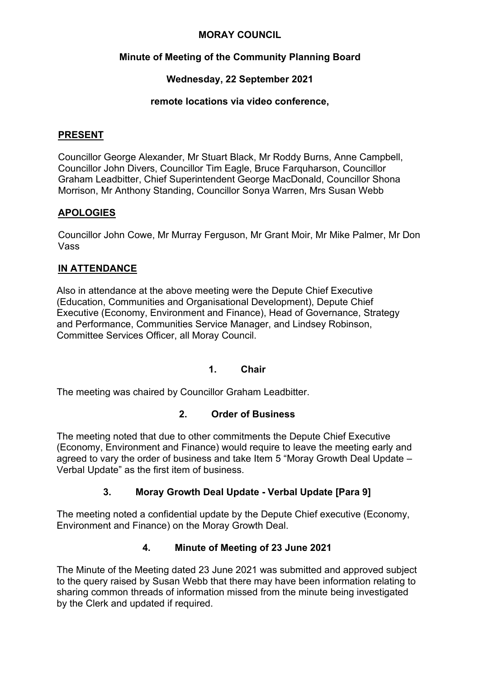#### **MORAY COUNCIL**

# **Minute of Meeting of the Community Planning Board**

# **Wednesday, 22 September 2021**

#### **remote locations via video conference,**

#### **PRESENT**

Councillor George Alexander, Mr Stuart Black, Mr Roddy Burns, Anne Campbell, Councillor John Divers, Councillor Tim Eagle, Bruce Farquharson, Councillor Graham Leadbitter, Chief Superintendent George MacDonald, Councillor Shona Morrison, Mr Anthony Standing, Councillor Sonya Warren, Mrs Susan Webb

# **APOLOGIES**

Councillor John Cowe, Mr Murray Ferguson, Mr Grant Moir, Mr Mike Palmer, Mr Don Vass

# **IN ATTENDANCE**

Also in attendance at the above meeting were the Depute Chief Executive (Education, Communities and Organisational Development), Depute Chief Executive (Economy, Environment and Finance), Head of Governance, Strategy and Performance, Communities Service Manager, and Lindsey Robinson, Committee Services Officer, all Moray Council.

# **1. Chair**

The meeting was chaired by Councillor Graham Leadbitter.

# **2. Order of Business**

The meeting noted that due to other commitments the Depute Chief Executive (Economy, Environment and Finance) would require to leave the meeting early and agreed to vary the order of business and take Item 5 "Moray Growth Deal Update – Verbal Update" as the first item of business.

# **3. Moray Growth Deal Update - Verbal Update [Para 9]**

The meeting noted a confidential update by the Depute Chief executive (Economy, Environment and Finance) on the Moray Growth Deal.

# **4. Minute of Meeting of 23 June 2021**

The Minute of the Meeting dated 23 June 2021 was submitted and approved subject to the query raised by Susan Webb that there may have been information relating to sharing common threads of information missed from the minute being investigated by the Clerk and updated if required.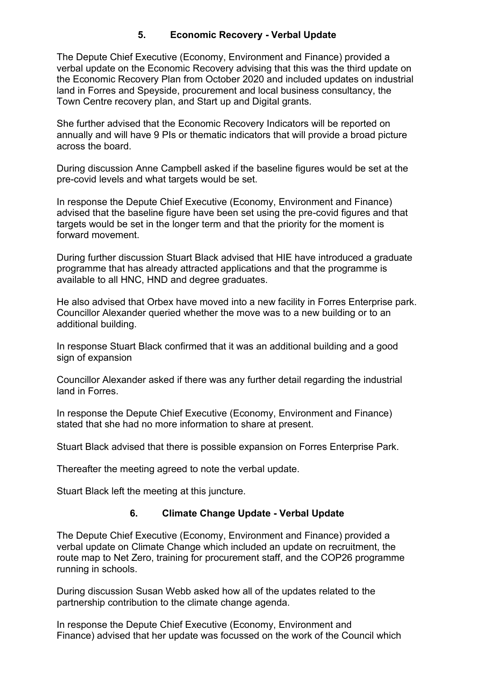# **5. Economic Recovery - Verbal Update**

The Depute Chief Executive (Economy, Environment and Finance) provided a verbal update on the Economic Recovery advising that this was the third update on the Economic Recovery Plan from October 2020 and included updates on industrial land in Forres and Speyside, procurement and local business consultancy, the Town Centre recovery plan, and Start up and Digital grants.

She further advised that the Economic Recovery Indicators will be reported on annually and will have 9 PIs or thematic indicators that will provide a broad picture across the board.

During discussion Anne Campbell asked if the baseline figures would be set at the pre-covid levels and what targets would be set.

In response the Depute Chief Executive (Economy, Environment and Finance) advised that the baseline figure have been set using the pre-covid figures and that targets would be set in the longer term and that the priority for the moment is forward movement.

During further discussion Stuart Black advised that HIE have introduced a graduate programme that has already attracted applications and that the programme is available to all HNC, HND and degree graduates.

He also advised that Orbex have moved into a new facility in Forres Enterprise park. Councillor Alexander queried whether the move was to a new building or to an additional building.

In response Stuart Black confirmed that it was an additional building and a good sign of expansion

Councillor Alexander asked if there was any further detail regarding the industrial land in Forres.

In response the Depute Chief Executive (Economy, Environment and Finance) stated that she had no more information to share at present.

Stuart Black advised that there is possible expansion on Forres Enterprise Park.

Thereafter the meeting agreed to note the verbal update.

Stuart Black left the meeting at this juncture.

#### **6. Climate Change Update - Verbal Update**

The Depute Chief Executive (Economy, Environment and Finance) provided a verbal update on Climate Change which included an update on recruitment, the route map to Net Zero, training for procurement staff, and the COP26 programme running in schools.

During discussion Susan Webb asked how all of the updates related to the partnership contribution to the climate change agenda.

In response the Depute Chief Executive (Economy, Environment and Finance) advised that her update was focussed on the work of the Council which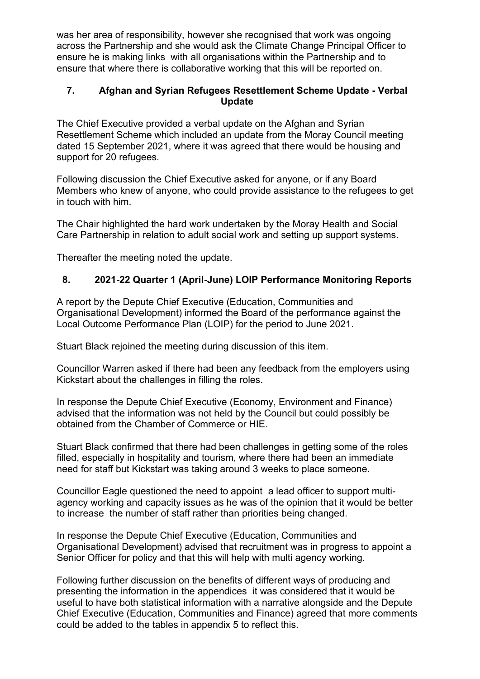was her area of responsibility, however she recognised that work was ongoing across the Partnership and she would ask the Climate Change Principal Officer to ensure he is making links with all organisations within the Partnership and to ensure that where there is collaborative working that this will be reported on.

#### **7. Afghan and Syrian Refugees Resettlement Scheme Update - Verbal Update**

The Chief Executive provided a verbal update on the Afghan and Syrian Resettlement Scheme which included an update from the Moray Council meeting dated 15 September 2021, where it was agreed that there would be housing and support for 20 refugees.

Following discussion the Chief Executive asked for anyone, or if any Board Members who knew of anyone, who could provide assistance to the refugees to get in touch with him.

The Chair highlighted the hard work undertaken by the Moray Health and Social Care Partnership in relation to adult social work and setting up support systems.

Thereafter the meeting noted the update.

# **8. 2021-22 Quarter 1 (April-June) LOIP Performance Monitoring Reports**

A report by the Depute Chief Executive (Education, Communities and Organisational Development) informed the Board of the performance against the Local Outcome Performance Plan (LOIP) for the period to June 2021.

Stuart Black rejoined the meeting during discussion of this item.

Councillor Warren asked if there had been any feedback from the employers using Kickstart about the challenges in filling the roles.

In response the Depute Chief Executive (Economy, Environment and Finance) advised that the information was not held by the Council but could possibly be obtained from the Chamber of Commerce or HIE.

Stuart Black confirmed that there had been challenges in getting some of the roles filled, especially in hospitality and tourism, where there had been an immediate need for staff but Kickstart was taking around 3 weeks to place someone.

Councillor Eagle questioned the need to appoint a lead officer to support multiagency working and capacity issues as he was of the opinion that it would be better to increase the number of staff rather than priorities being changed.

In response the Depute Chief Executive (Education, Communities and Organisational Development) advised that recruitment was in progress to appoint a Senior Officer for policy and that this will help with multi agency working.

Following further discussion on the benefits of different ways of producing and presenting the information in the appendices it was considered that it would be useful to have both statistical information with a narrative alongside and the Depute Chief Executive (Education, Communities and Finance) agreed that more comments could be added to the tables in appendix 5 to reflect this.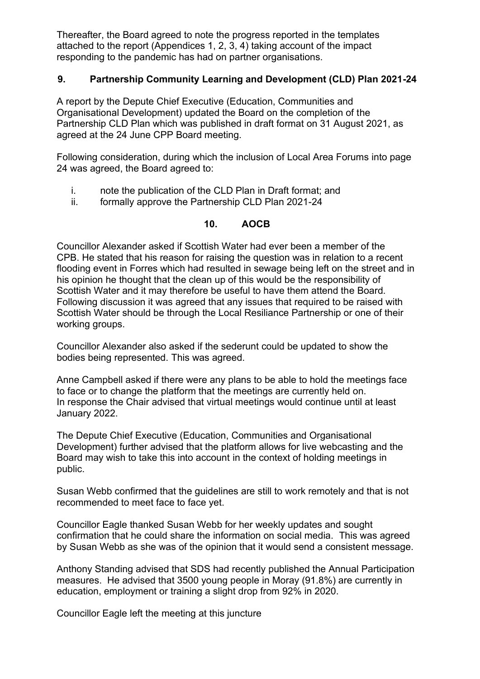Thereafter, the Board agreed to note the progress reported in the templates attached to the report (Appendices 1, 2, 3, 4) taking account of the impact responding to the pandemic has had on partner organisations.

#### **9. Partnership Community Learning and Development (CLD) Plan 2021-24**

A report by the Depute Chief Executive (Education, Communities and Organisational Development) updated the Board on the completion of the Partnership CLD Plan which was published in draft format on 31 August 2021, as agreed at the 24 June CPP Board meeting.

Following consideration, during which the inclusion of Local Area Forums into page 24 was agreed, the Board agreed to:

- i. note the publication of the CLD Plan in Draft format; and
- ii. formally approve the Partnership CLD Plan 2021-24

#### **10. AOCB**

Councillor Alexander asked if Scottish Water had ever been a member of the CPB. He stated that his reason for raising the question was in relation to a recent flooding event in Forres which had resulted in sewage being left on the street and in his opinion he thought that the clean up of this would be the responsibility of Scottish Water and it may therefore be useful to have them attend the Board. Following discussion it was agreed that any issues that required to be raised with Scottish Water should be through the Local Resiliance Partnership or one of their working groups.

Councillor Alexander also asked if the sederunt could be updated to show the bodies being represented. This was agreed.

Anne Campbell asked if there were any plans to be able to hold the meetings face to face or to change the platform that the meetings are currently held on. In response the Chair advised that virtual meetings would continue until at least January 2022.

The Depute Chief Executive (Education, Communities and Organisational Development) further advised that the platform allows for live webcasting and the Board may wish to take this into account in the context of holding meetings in public.

Susan Webb confirmed that the guidelines are still to work remotely and that is not recommended to meet face to face yet.

Councillor Eagle thanked Susan Webb for her weekly updates and sought confirmation that he could share the information on social media. This was agreed by Susan Webb as she was of the opinion that it would send a consistent message.

Anthony Standing advised that SDS had recently published the Annual Participation measures. He advised that 3500 young people in Moray (91.8%) are currently in education, employment or training a slight drop from 92% in 2020.

Councillor Eagle left the meeting at this juncture